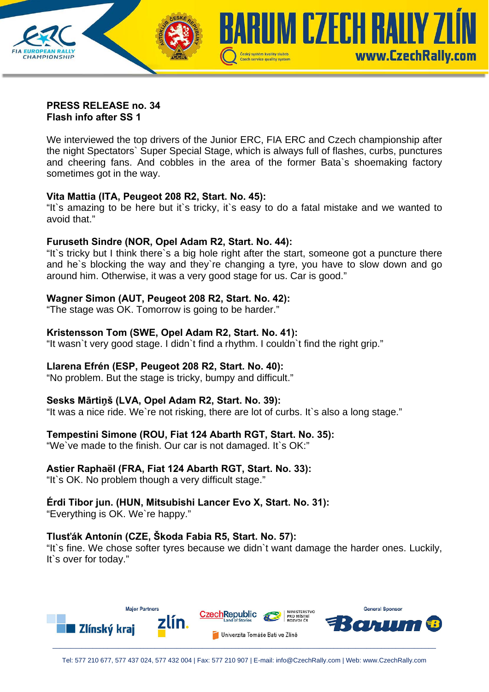

#### **PRESS RELEASE no. 34 Flash info after SS 1**

We interviewed the top drivers of the Junior ERC, FIA ERC and Czech championship after the night Spectators` Super Special Stage, which is always full of flashes, curbs, punctures and cheering fans. And cobbles in the area of the former Bata`s shoemaking factory sometimes got in the way.

# **Vita Mattia (ITA, Peugeot 208 R2, Start. No. 45):**

"It`s amazing to be here but it`s tricky, it`s easy to do a fatal mistake and we wanted to avoid that."

## **Furuseth Sindre (NOR, Opel Adam R2, Start. No. 44):**

"It`s tricky but I think there`s a big hole right after the start, someone got a puncture there and he`s blocking the way and they`re changing a tyre, you have to slow down and go around him. Otherwise, it was a very good stage for us. Car is good."

## **Wagner Simon (AUT, Peugeot 208 R2, Start. No. 42):**

"The stage was OK. Tomorrow is going to be harder."

## **Kristensson Tom (SWE, Opel Adam R2, Start. No. 41):**

"It wasn`t very good stage. I didn`t find a rhythm. I couldn`t find the right grip."

# **Llarena Efrén (ESP, Peugeot 208 R2, Start. No. 40):**

"No problem. But the stage is tricky, bumpy and difficult."

#### **Sesks Mārtiņš (LVA, Opel Adam R2, Start. No. 39):**

"It was a nice ride. We`re not risking, there are lot of curbs. It`s also a long stage."

# **Tempestini Simone (ROU, Fiat 124 Abarth RGT, Start. No. 35):**

"We`ve made to the finish. Our car is not damaged. It`s OK:"

#### **Astier Raphaël (FRA, Fiat 124 Abarth RGT, Start. No. 33):**

"It`s OK. No problem though a very difficult stage."

## **Érdi Tibor jun. (HUN, Mitsubishi Lancer Evo X, Start. No. 31):**

"Everything is OK. We`re happy."

# **Tlusťák Antonín (CZE, Škoda Fabia R5, Start. No. 57):**

"It`s fine. We chose softer tyres because we didn`t want damage the harder ones. Luckily, It`s over for today."

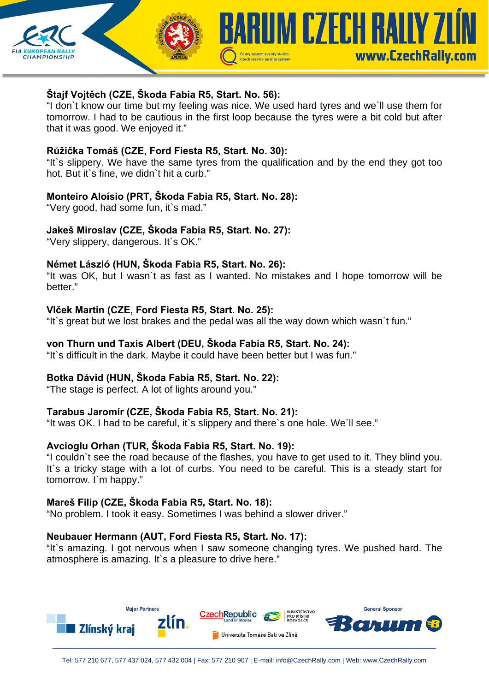

# **Štajf Vojtěch (CZE, Škoda Fabia R5, Start. No. 56):**

"I don`t know our time but my feeling was nice. We used hard tyres and we`ll use them for tomorrow. I had to be cautious in the first loop because the tyres were a bit cold but after that it was good. We enjoyed it."

## **Růžička Tomáš (CZE, Ford Fiesta R5, Start. No. 30):**

"It`s slippery. We have the same tyres from the qualification and by the end they got too hot. But it`s fine, we didn`t hit a curb."

## **Monteiro Aloísio (PRT, Škoda Fabia R5, Start. No. 28):**

"Very good, had some fun, it's mad."

# **Jakeš Miroslav (CZE, Škoda Fabia R5, Start. No. 27):**

"Very slippery, dangerous. It`s OK."

# **Német László (HUN, Škoda Fabia R5, Start. No. 26):**

"It was OK, but I wasn`t as fast as I wanted. No mistakes and I hope tomorrow will be hetter."

## **Vlček Martin (CZE, Ford Fiesta R5, Start. No. 25):**

"It`s great but we lost brakes and the pedal was all the way down which wasn`t fun."

## **von Thurn und Taxis Albert (DEU, Škoda Fabia R5, Start. No. 24):**

"It`s difficult in the dark. Maybe it could have been better but I was fun."

# **Botka Dávid (HUN, Škoda Fabia R5, Start. No. 22):**

"The stage is perfect. A lot of lights around you."

#### **Tarabus Jaromír (CZE, Škoda Fabia R5, Start. No. 21):**

"It was OK. I had to be careful, it`s slippery and there`s one hole. We`ll see."

# **Avcioglu Orhan (TUR, Škoda Fabia R5, Start. No. 19):**

"I couldn`t see the road because of the flashes, you have to get used to it. They blind you. It's a tricky stage with a lot of curbs. You need to be careful. This is a steady start for tomorrow. I`m happy."

#### **Mareš Filip (CZE, Škoda Fabia R5, Start. No. 18):**

"No problem. I took it easy. Sometimes I was behind a slower driver."

#### **Neubauer Hermann (AUT, Ford Fiesta R5, Start. No. 17):**

"It`s amazing. I got nervous when I saw someone changing tyres. We pushed hard. The atmosphere is amazing. It's a pleasure to drive here."